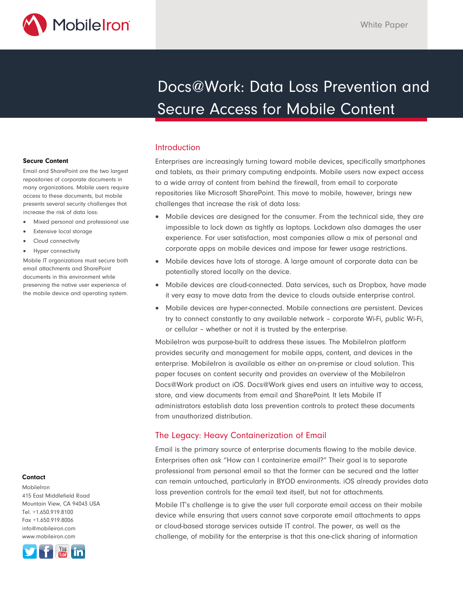

# Docs@Work: Data Loss Prevention and Secure Access for Mobile Content

### Introduction

Enterprises are increasingly turning toward mobile devices, specifically smartphones and tablets, as their primary computing endpoints. Mobile users now expect access to a wide array of content from behind the firewall, from email to corporate repositories like Microsoft SharePoint. This move to mobile, however, brings new challenges that increase the risk of data loss:

- Mobile devices are designed for the consumer. From the technical side, they are impossible to lock down as tightly as laptops. Lockdown also damages the user experience. For user satisfaction, most companies allow a mix of personal and corporate apps on mobile devices and impose far fewer usage restrictions.
- Mobile devices have lots of storage. A large amount of corporate data can be potentially stored locally on the device.
- Mobile devices are cloud-connected. Data services, such as Dropbox, have made it very easy to move data from the device to clouds outside enterprise control.
- Mobile devices are hyper-connected. Mobile connections are persistent. Devices try to connect constantly to any available network – corporate Wi-Fi, public Wi-Fi, or cellular – whether or not it is trusted by the enterprise.

MobileIron was purpose-built to address these issues. The MobileIron platform provides security and management for mobile apps, content, and devices in the enterprise. MobileIron is available as either an on-premise or cloud solution. This paper focuses on content security and provides an overview of the MobileIron Docs@Work product on iOS. Docs@Work gives end users an intuitive way to access, store, and view documents from email and SharePoint. It lets Mobile IT administrators establish data loss prevention controls to protect these documents from unauthorized distribution.

# The Legacy: Heavy Containerization of Email

Email is the primary source of enterprise documents flowing to the mobile device. Enterprises often ask "How can I containerize email?" Their goal is to separate professional from personal email so that the former can be secured and the latter can remain untouched, particularly in BYOD environments. iOS already provides data loss prevention controls for the email text itself, but not for attachments.

Mobile IT's challenge is to give the user full corporate email access on their mobile device while ensuring that users cannot save corporate email attachments to apps or cloud-based storage services outside IT control. The power, as well as the challenge, of mobility for the enterprise is that this one-click sharing of information

#### **Secure Content**

Email and SharePoint are the two largest repositories of corporate documents in many organizations. Mobile users require access to these documents, but mobile presents several security challenges that increase the risk of data loss:

- Mixed personal and professional use
- Extensive local storage
- Cloud connectivity
- Hyper connectivity

Mobile IT organizations must secure both email attachments and SharePoint documents in this environment while preserving the native user experience of the mobile device and operating system.

#### **Contact**

MobileIron 415 East Middlefield Road Mountain View, CA 94043 USA Tel. +1.650.919.8100 Fax +1.650.919.8006 info@mobileiron.com www.mobileiron.com

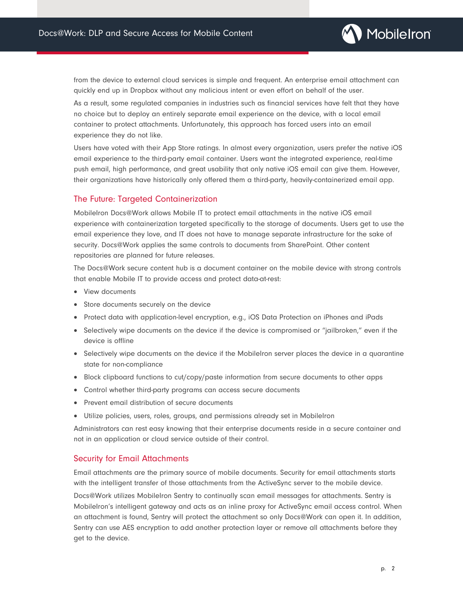

from the device to external cloud services is simple and frequent. An enterprise email attachment can quickly end up in Dropbox without any malicious intent or even effort on behalf of the user.

As a result, some regulated companies in industries such as financial services have felt that they have no choice but to deploy an entirely separate email experience on the device, with a local email container to protect attachments. Unfortunately, this approach has forced users into an email experience they do not like.

Users have voted with their App Store ratings. In almost every organization, users prefer the native iOS email experience to the third-party email container. Users want the integrated experience, real-time push email, high performance, and great usability that only native iOS email can give them. However, their organizations have historically only offered them a third-party, heavily-containerized email app.

# The Future: Targeted Containerization

MobileIron Docs@Work allows Mobile IT to protect email attachments in the native iOS email experience with containerization targeted specifically to the storage of documents. Users get to use the email experience they love, and IT does not have to manage separate infrastructure for the sake of security. Docs@Work applies the same controls to documents from SharePoint. Other content repositories are planned for future releases.

The Docs@Work secure content hub is a document container on the mobile device with strong controls that enable Mobile IT to provide access and protect data-at-rest:

- View documents
- Store documents securely on the device
- Protect data with application-level encryption, e.g., iOS Data Protection on iPhones and iPads
- Selectively wipe documents on the device if the device is compromised or "jailbroken," even if the device is offline
- Selectively wipe documents on the device if the MobileIron server places the device in a quarantine state for non-compliance
- Block clipboard functions to cut/copy/paste information from secure documents to other apps
- Control whether third-party programs can access secure documents
- Prevent email distribution of secure documents
- Utilize policies, users, roles, groups, and permissions already set in MobileIron

Administrators can rest easy knowing that their enterprise documents reside in a secure container and not in an application or cloud service outside of their control.

# Security for Email Attachments

Email attachments are the primary source of mobile documents. Security for email attachments starts with the intelligent transfer of those attachments from the ActiveSync server to the mobile device.

Docs@Work utilizes MobileIron Sentry to continually scan email messages for attachments. Sentry is MobileIron's intelligent gateway and acts as an inline proxy for ActiveSync email access control. When an attachment is found, Sentry will protect the attachment so only Docs@Work can open it. In addition, Sentry can use AES encryption to add another protection layer or remove all attachments before they get to the device.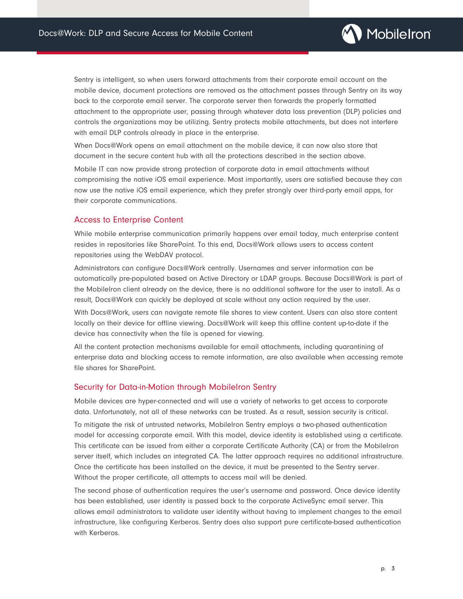

Sentry is intelligent, so when users forward attachments from their corporate email account on the mobile device, document protections are removed as the attachment passes through Sentry on its way back to the corporate email server. The corporate server then forwards the properly formatted attachment to the appropriate user, passing through whatever data loss prevention (DLP) policies and controls the organizations may be utilizing. Sentry protects mobile attachments, but does not interfere with email DLP controls already in place in the enterprise.

When Docs@Work opens an email attachment on the mobile device, it can now also store that document in the secure content hub with all the protections described in the section above.

Mobile IT can now provide strong protection of corporate data in email attachments without compromising the native iOS email experience. Most importantly, users are satisfied because they can now use the native iOS email experience, which they prefer strongly over third-party email apps, for their corporate communications.

#### Access to Enterprise Content

While mobile enterprise communication primarily happens over email today, much enterprise content resides in repositories like SharePoint. To this end, Docs@Work allows users to access content repositories using the WebDAV protocol.

Administrators can configure Docs@Work centrally. Usernames and server information can be automatically pre-populated based on Active Directory or LDAP groups. Because Docs@Work is part of the MobileIron client already on the device, there is no additional software for the user to install. As a result, Docs@Work can quickly be deployed at scale without any action required by the user.

With Docs@Work, users can navigate remote file shares to view content. Users can also store content locally on their device for offline viewing. Docs@Work will keep this offline content up-to-date if the device has connectivity when the file is opened for viewing.

All the content protection mechanisms available for email attachments, including quarantining of enterprise data and blocking access to remote information, are also available when accessing remote file shares for SharePoint.

#### Security for Data-in-Motion through MobileIron Sentry

Mobile devices are hyper-connected and will use a variety of networks to get access to corporate data. Unfortunately, not all of these networks can be trusted. As a result, session security is critical.

To mitigate the risk of untrusted networks, MobileIron Sentry employs a two-phased authentication model for accessing corporate email. With this model, device identity is established using a certificate. This certificate can be issued from either a corporate Certificate Authority (CA) or from the MobileIron server itself, which includes an integrated CA. The latter approach requires no additional infrastructure. Once the certificate has been installed on the device, it must be presented to the Sentry server. Without the proper certificate, all attempts to access mail will be denied.

The second phase of authentication requires the user's username and password. Once device identity has been established, user identity is passed back to the corporate ActiveSync email server. This allows email administrators to validate user identity without having to implement changes to the email infrastructure, like configuring Kerberos. Sentry does also support pure certificate-based authentication with Kerberos.